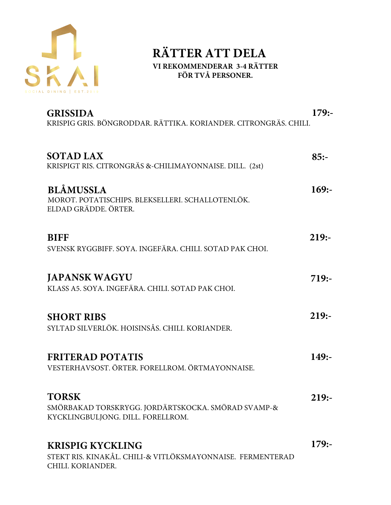

### RÄTTER ATT DELA VI REKOMMENDERAR 3-4 RÄTTER FÖR TVÅ PERSONER.

|                                                                                                            | $179: -$ |
|------------------------------------------------------------------------------------------------------------|----------|
| <b>SOTAD LAX</b><br>KRISPIGT RIS. CITRONGRÄS &-CHILIMAYONNAISE. DILL. (2st)                                | $85: -$  |
| <b>BLÅMUSSLA</b><br>MOROT. POTATISCHIPS. BLEKSELLERI. SCHALLOTENLÖK.<br>ELDAD GRÄDDE, ÖRTER.               | $169: -$ |
| <b>BIFF</b><br>SVENSK RYGGBIFF. SOYA. INGEFÄRA. CHILI. SOTAD PAK CHOI.                                     | $219: -$ |
| <b>JAPANSK WAGYU</b><br>KLASS A5. SOYA. INGEFÄRA. CHILI. SOTAD PAK CHOI.                                   | $719: -$ |
| <b>SHORT RIBS</b><br>SYLTAD SILVERLÖK. HOISINSÅS. CHILI. KORIANDER.                                        | $219: -$ |
| <b>FÄRSK</b><br>S<br>SMETANA. FORELLROM. ÖRTER.                                                            | $149: -$ |
| <b>TORSK</b><br>SMÖRBAKAD TORSKRYGG, SOTAD SPARRIS, ROTSELLERI.<br>SANDEFJORDSÅS. FORELLROM. ÖRTER.        | $219: -$ |
| <b>KRISPIG KYCKLING</b><br>STEKT RIS. KINAKÅL. CHILI-& VITLÖKSMAYONNAISE. FERMENTERAD<br>CHILI. KORIANDER. | $179: -$ |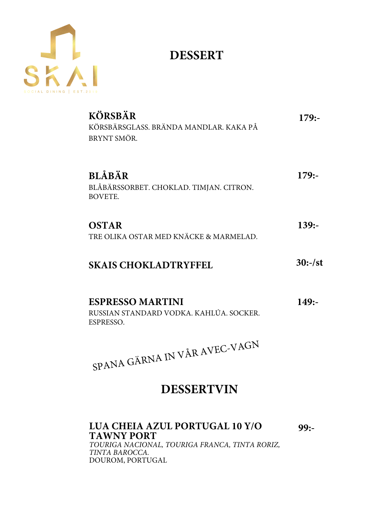

# **DESSERT**

| <b>ANANAS</b><br>ANANASSORBET. KOKOSMJÖLK. ROSTAD KOKOS.<br>ROSTAD BOVETE.               | $179: -$  |
|------------------------------------------------------------------------------------------|-----------|
| <b>JORDGUBBAR</b><br>VARIATION PÅ JORDGUBBAR. FLÄDER. CITRON.<br>ROSTAD MANDEL. FILMJÖLK | $179: -$  |
| <b>OSTAR</b><br>TRE OLIKA OSTAR MED KNÄCKE & MARMELAD.                                   | $139: -$  |
| <b>SKAIS CHOKLADTRYFFEL</b>                                                              | $30:-/st$ |
| <b>ESPRESSO MARTINI</b><br>PURITY VODKA, KAHLÚA, SOCKER, ESPRESSO,                       | $149: -$  |
| SPANA GÄRNA IN VÅR AVEC-VAGN                                                             |           |

## **DESSERTVIN**

## **LUA CHEIA AZUL PORTUGAL 10 Y/O TAWNY PORT**

**99:-**

*TOURIGA NACIONAL, TOURIGA FRANCA, TINTA RORIZ, TINTA BAROCCA.* DOUROM, PORTUGAL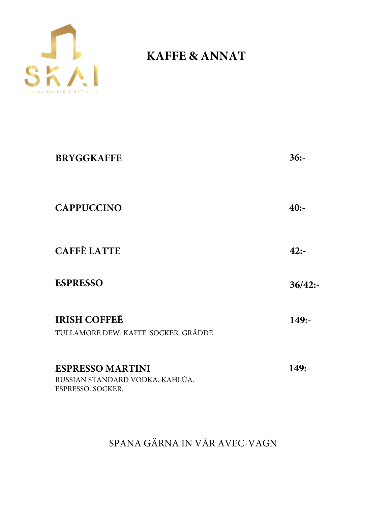

# **KAFFE & ANNAT**

| <b>BRYGGKAFFE</b>                                                               | $36: -$  |
|---------------------------------------------------------------------------------|----------|
| <b>CAPPUCCINO</b>                                                               | $40: -$  |
| <b>CAFFÈ LATTE</b>                                                              | $42: -$  |
| <b>ESPRESSO</b>                                                                 | 36/42:   |
| <b>IRISH COFFEÉ</b><br>TULLAMORE DEW. KAFFE. SOCKER. GRÄDDE.                    | $149: -$ |
| <b>ESPRESSO MARTINI</b><br>RUSSIAN STANDARD VODKA. KAHLÚA.<br>ESPRESSO. SOCKER. | $149: -$ |

SPANA GÄRNA IN VÅR AVEC-VAGN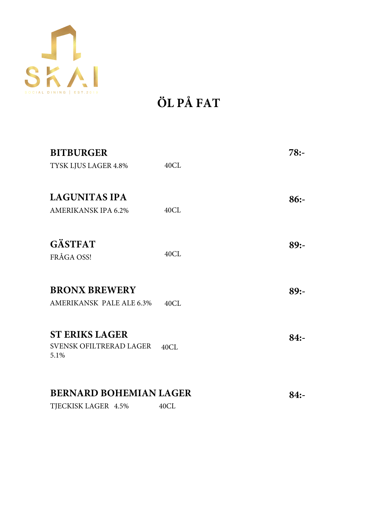

**ÖL PÅ FAT**

| <b>BITBURGER</b>                       |      | $78: -$ |
|----------------------------------------|------|---------|
| TYSK LJUS LAGER 4.8%                   | 40CL |         |
| <b>LAGUNITAS IPA</b>                   |      | $86: -$ |
| <b>AMERIKANSK IPA 6.2%</b>             | 40CL |         |
|                                        |      |         |
| <b>GÄSTFAT</b>                         |      | 89:     |
| FRÅGA OSS!                             | 40CL |         |
| <b>BRONX BREWERY</b>                   |      |         |
|                                        |      | $89: -$ |
| AMERIKANSK PALE ALE 6.3%               | 40CL |         |
| <b>ST ERIKS LAGER</b>                  |      | $84: -$ |
| <b>SVENSK OFILTRERAD LAGER</b><br>5.1% | 40CL |         |
|                                        |      |         |
| <b>BERNARD BOHEMIAN LAGER</b>          |      | $84: -$ |
| TJECKISK LAGER 4.5%                    | 40CL |         |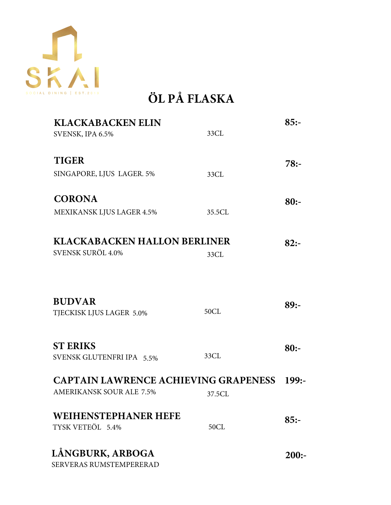

# **ÖL PÅ FLASKA**

| <b>KLACKABACKEN ELIN</b>                        |        | $85: -$ |
|-------------------------------------------------|--------|---------|
| SVENSK, IPA 6.5%                                | 33CL   |         |
| <b>TIGER</b>                                    |        | $78: -$ |
| SINGAPORE, LJUS LAGER. 5%                       | 33CL   |         |
| <b>CORONA</b>                                   |        | $80: -$ |
| <b>MEXIKANSK LJUS LAGER 4.5%</b>                | 35.5CL |         |
| <b>KLACKABACKEN HALLON BERLINER</b>             |        | $82: -$ |
| SVENSK SURÖL 4.0%                               | 33CL   |         |
|                                                 |        |         |
| <b>BUDVAR</b>                                   |        | $89: -$ |
| TJECKISK LJUS LAGER 5.0%                        | 50CL   |         |
| <b>ST ERIKS</b>                                 |        | $80: -$ |
| SVENSK GLUTENFRI IPA 5.5%                       | 33CL   |         |
| <b>CAPTAIN LAWRENCE ACHIEVING GRAPENESS</b>     |        | 199:    |
| <b>AMERIKANSK SOUR ALE 7.5%</b>                 | 37.5CL |         |
| <b>WEIHENSTEPHANER HEFE</b><br>TYSK VETEÖL 5.4% | 50CL   | $85: -$ |
|                                                 |        |         |
| LÅNGBURK, ARBOGA<br>SERVERAS RUMSTEMPERERAD     |        | $200:-$ |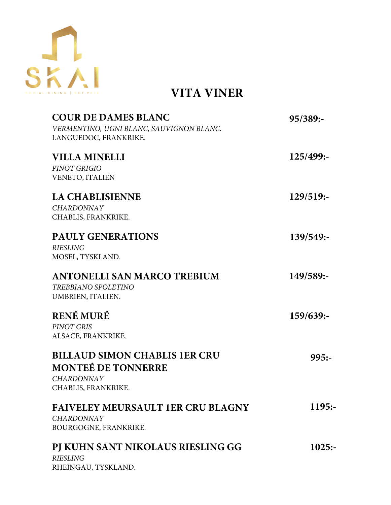

**VITA VINER** 

| <b>COUR DE DAMES BLANC</b><br>VERMENTINO, UGNI BLANC, SAUVIGNON BLANC.<br>LANGUEDOC, FRANKRIKE.               | 95/389:   |
|---------------------------------------------------------------------------------------------------------------|-----------|
| <b>VILLA MINELLI</b><br>PINOT GRIGIO<br><b>VENETO, ITALIEN</b>                                                | 125/499:- |
| <b>LA CHABLISIENNE</b><br><b>CHARDONNAY</b><br>CHABLIS, FRANKRIKE.                                            | 129/519:  |
| <b>PAULY GENERATIONS</b><br><b>RIESLING</b><br>MOSEL, TYSKLAND.                                               | 139/549:  |
| ANTONELLI SAN MARCO TREBIUM<br><b>TREBBIANO SPOLETINO</b><br>UMBRIEN, ITALIEN.                                | 149/589:- |
| <b>RENÉ MURÉ</b><br><b>PINOT GRIS</b><br>ALSACE, FRANKRIKE.                                                   | 159/639:- |
| <b>BILLAUD SIMON CHABLIS 1ER CRU</b><br><b>MONTEÉ DE TONNERRE</b><br><b>CHARDONNAY</b><br>CHABLIS, FRANKRIKE. | $995: -$  |
| <b>FAIVELEY MEURSAULT 1ER CRU BLAGNY</b><br><b>CHARDONNAY</b><br>BOURGOGNE, FRANKRIKE.                        | $1195: -$ |
| PJ KUHN SANT NIKOLAUS RIESLING GG<br><b>RIESLING</b><br>RHEINGAU, TYSKLAND.                                   | 1025:     |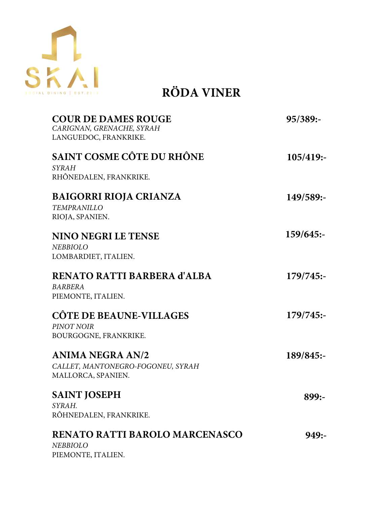

**RÖDA VINER**

| <b>COUR DE DAMES ROUGE</b><br>CARIGNAN, GRENACHE, SYRAH<br>LANGUEDOC, FRANKRIKE.   | 95/389:   |
|------------------------------------------------------------------------------------|-----------|
| <b>SAINT COSME CÔTE DU RHÔNE</b><br><b>SYRAH</b><br>RHÔNEDALEN, FRANKRIKE.         | 105/419:  |
| <b>BAIGORRI RIOJA CRIANZA</b><br>TEMPRANILLO<br>RIOJA, SPANIEN.                    | 149/589:- |
| <b>NINO NEGRI LE TENSE</b><br><b>NEBBIOLO</b><br>LOMBARDIET, ITALIEN.              | 159/645:  |
| RENATO RATTI BARBERA d'ALBA<br><b>BARBERA</b><br>PIEMONTE, ITALIEN.                | 179/745:  |
| <b>CÔTE DE BEAUNE-VILLAGES</b><br>PINOT NOIR<br>BOURGOGNE, FRANKRIKE.              | 179/745:  |
| <b>ANIMA NEGRA AN/2</b><br>CALLET, MANTONEGRO-FOGONEU, SYRAH<br>MALLORCA, SPANIEN. | 189/845:  |
| <b>SAINT JOSEPH</b><br>SYRAH.<br>RÔHNEDALEN, FRANKRIKE.                            | 899:-     |
| <b>RENATO RATTI BAROLO MARCENASCO</b><br><b>NEBBIOLO</b><br>PIEMONTE, ITALIEN.     | 949:      |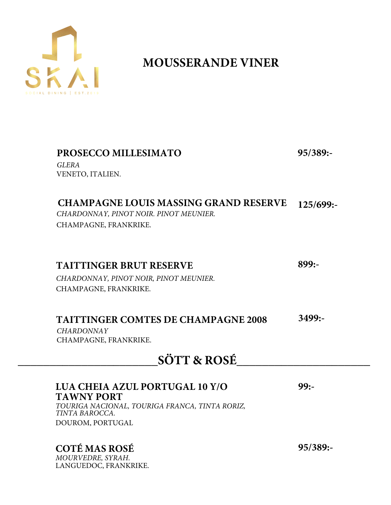

# **MOUSSERANDE VINER**

| PROSECCO MILLESIMATO<br><b>GLERA</b><br>VENETO, ITALIEN.                                                                                    | 95/389:   |
|---------------------------------------------------------------------------------------------------------------------------------------------|-----------|
| <b>CHAMPAGNE LOUIS MASSING GRAND RESERVE</b><br>CHARDONNAY, PINOT NOIR. PINOT MEUNIER.<br>CHAMPAGNE, FRANKRIKE.                             | 125/699:  |
| <b>TAITTINGER BRUT RESERVE</b><br>CHARDONNAY, PINOT NOIR, PINOT MEUNIER.<br>CHAMPAGNE, FRANKRIKE.                                           | $899: -$  |
| <b>TAITTINGER COMTES DE CHAMPAGNE 2008</b><br><b>CHARDONNAY</b><br>CHAMPAGNE, FRANKRIKE.                                                    | $3499: -$ |
| <b>SÖTT &amp; ROSÉ</b>                                                                                                                      |           |
| LUA CHEIA AZUL PORTUGAL 10 Y/O<br><b>TAWNY PORT</b><br>TOURIGA NACIONAL, TOURIGA FRANCA, TINTA RORIZ,<br>TINTA BAROCCA.<br>DOUROM, PORTUGAL | $99: -$   |

## **COTÉ MAS ROSÉ**

*MOURVEDRE, SYRAH*. LANGUEDOC, FRANKRIKE. **95/389:-**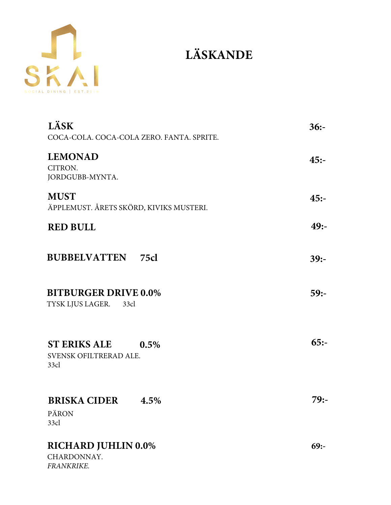

# **LÄSKANDE**

| LÄSK<br>COCA-COLA. COCA-COLA ZERO. FANTA. SPRITE.             | $36: -$ |
|---------------------------------------------------------------|---------|
| <b>LEMONAD</b><br>CITRON.<br>JORDGUBB-MYNTA.                  | $45: -$ |
| <b>MUST</b><br>ÄPPLEMUST. ÅRETS SKÖRD, KIVIKS MUSTERI.        | $45: -$ |
| <b>RED BULL</b>                                               | $49: -$ |
| <b>BUBBELVATTEN</b> 75cl                                      | $39: -$ |
| <b>BITBURGER DRIVE 0.0%</b><br>TYSK LJUS LAGER.<br>33cl       | $59: -$ |
| <b>ST ERIKS ALE</b><br>0.5%<br>SVENSK OFILTRERAD ALE.<br>33cl | $65: -$ |
| <b>BRISKA CIDER</b><br>$4.5\%$<br>PÄRON<br>33cl               | 79:-    |
| <b>RICHARD JUHLIN 0.0%</b><br>CHARDONNAY.<br>FRANKRIKE.       | $69: -$ |